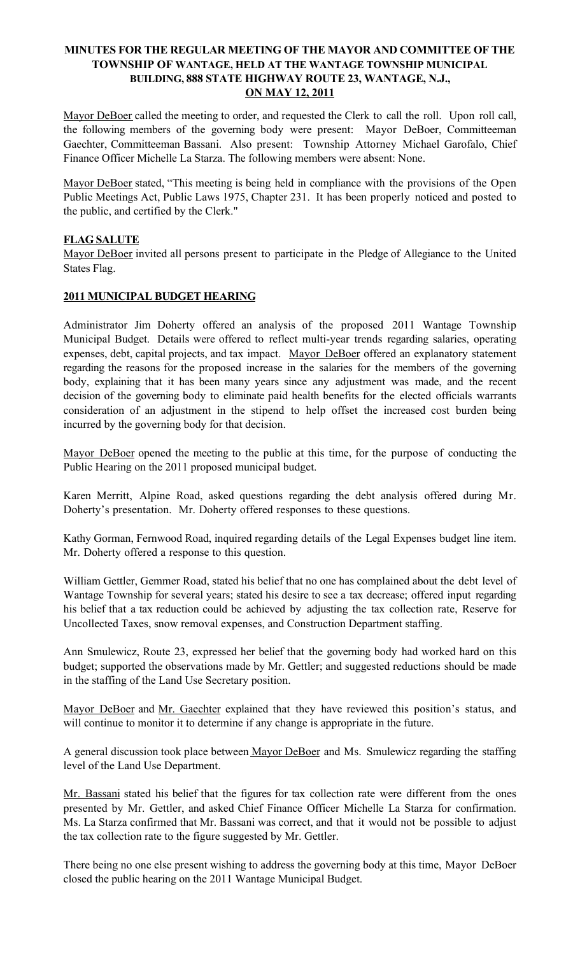# MINUTES FOR THE REGULAR MEETING OF THE MAYOR AND COMMITTEE OF THE TOWNSHIP OF WANTAGE, HELD AT THE WANTAGE TOWNSHIP MUNICIPAL BUILDING, 888 STATE HIGHWAY ROUTE 23, WANTAGE, N.J., ON MAY 12, 2011

Mayor DeBoer called the meeting to order, and requested the Clerk to call the roll. Upon roll call, the following members of the governing body were present: Mayor DeBoer, Committeeman Gaechter, Committeeman Bassani. Also present: Township Attorney Michael Garofalo, Chief Finance Officer Michelle La Starza. The following members were absent: None.

Mayor DeBoer stated, "This meeting is being held in compliance with the provisions of the Open Public Meetings Act, Public Laws 1975, Chapter 231. It has been properly noticed and posted to the public, and certified by the Clerk."

# FLAG SALUTE

Mayor DeBoer invited all persons present to participate in the Pledge of Allegiance to the United States Flag.

# 2011 MUNICIPAL BUDGET HEARING

Administrator Jim Doherty offered an analysis of the proposed 2011 Wantage Township Municipal Budget. Details were offered to reflect multi-year trends regarding salaries, operating expenses, debt, capital projects, and tax impact. Mayor DeBoer offered an explanatory statement regarding the reasons for the proposed increase in the salaries for the members of the governing body, explaining that it has been many years since any adjustment was made, and the recent decision of the governing body to eliminate paid health benefits for the elected officials warrants consideration of an adjustment in the stipend to help offset the increased cost burden being incurred by the governing body for that decision.

Mayor DeBoer opened the meeting to the public at this time, for the purpose of conducting the Public Hearing on the 2011 proposed municipal budget.

Karen Merritt, Alpine Road, asked questions regarding the debt analysis offered during Mr. Doherty's presentation. Mr. Doherty offered responses to these questions.

Kathy Gorman, Fernwood Road, inquired regarding details of the Legal Expenses budget line item. Mr. Doherty offered a response to this question.

William Gettler, Gemmer Road, stated his belief that no one has complained about the debt level of Wantage Township for several years; stated his desire to see a tax decrease; offered input regarding his belief that a tax reduction could be achieved by adjusting the tax collection rate, Reserve for Uncollected Taxes, snow removal expenses, and Construction Department staffing.

Ann Smulewicz, Route 23, expressed her belief that the governing body had worked hard on this budget; supported the observations made by Mr. Gettler; and suggested reductions should be made in the staffing of the Land Use Secretary position.

Mayor DeBoer and Mr. Gaechter explained that they have reviewed this position's status, and will continue to monitor it to determine if any change is appropriate in the future.

A general discussion took place between Mayor DeBoer and Ms. Smulewicz regarding the staffing level of the Land Use Department.

Mr. Bassani stated his belief that the figures for tax collection rate were different from the ones presented by Mr. Gettler, and asked Chief Finance Officer Michelle La Starza for confirmation. Ms. La Starza confirmed that Mr. Bassani was correct, and that it would not be possible to adjust the tax collection rate to the figure suggested by Mr. Gettler.

There being no one else present wishing to address the governing body at this time, Mayor DeBoer closed the public hearing on the 2011 Wantage Municipal Budget.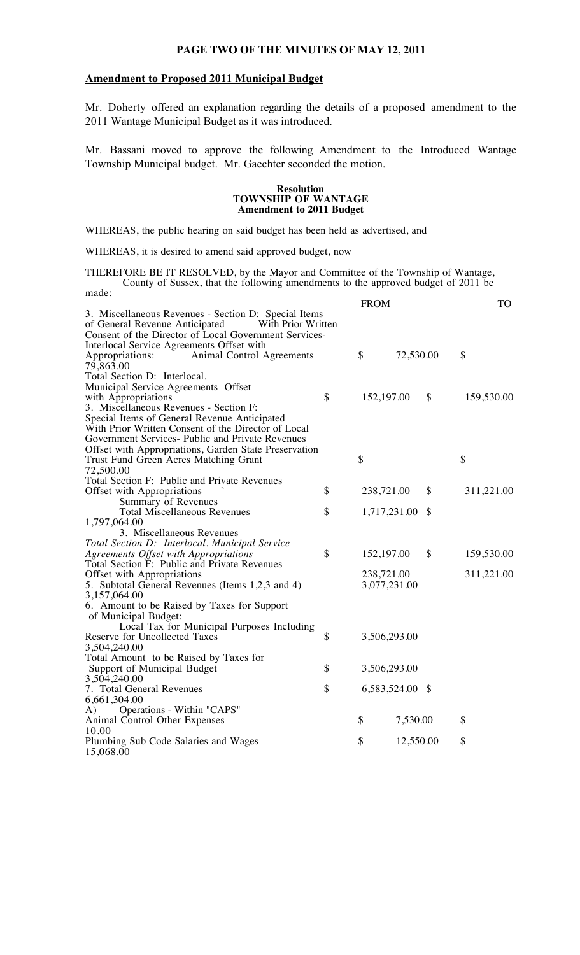#### PAGE TWO OF THE MINUTES OF MAY 12, 2011

#### Amendment to Proposed 2011 Municipal Budget

Mr. Doherty offered an explanation regarding the details of a proposed amendment to the 2011 Wantage Municipal Budget as it was introduced.

Mr. Bassani moved to approve the following Amendment to the Introduced Wantage Township Municipal budget. Mr. Gaechter seconded the motion.

#### **Resolution TOWNSHIP OF WANTAGE Amendment to 2011 Budget**

WHEREAS, the public hearing on said budget has been held as advertised, and

WHEREAS, it is desired to amend said approved budget, now

THEREFORE BE IT RESOLVED, by the Mayor and Committee of the Township of Wantage, County of Sussex, that the following amendments to the approved budget of 2011 be made:

|                                                       | <b>FROM</b>           |           | TO               |  |
|-------------------------------------------------------|-----------------------|-----------|------------------|--|
| 3. Miscellaneous Revenues - Section D: Special Items  |                       |           |                  |  |
| With Prior Written<br>of General Revenue Anticipated  |                       |           |                  |  |
| Consent of the Director of Local Government Services- |                       |           |                  |  |
| Interlocal Service Agreements Offset with             |                       |           |                  |  |
| Animal Control Agreements<br>Appropriations:          | \$                    | 72,530.00 | \$               |  |
| 79,863.00                                             |                       |           |                  |  |
| Total Section D: Interlocal.                          |                       |           |                  |  |
| Municipal Service Agreements Offset                   |                       |           |                  |  |
| with Appropriations                                   | \$<br>152,197.00      |           | \$<br>159,530.00 |  |
| 3. Miscellaneous Revenues - Section F:                |                       |           |                  |  |
| Special Items of General Revenue Anticipated          |                       |           |                  |  |
| With Prior Written Consent of the Director of Local   |                       |           |                  |  |
| Government Services- Public and Private Revenues      |                       |           |                  |  |
| Offset with Appropriations, Garden State Preservation |                       |           |                  |  |
| Trust Fund Green Acres Matching Grant                 | \$                    |           | \$               |  |
| 72,500.00                                             |                       |           |                  |  |
| Total Section F: Public and Private Revenues          |                       |           |                  |  |
| Offset with Appropriations                            | \$<br>238,721.00      |           | \$<br>311,221.00 |  |
| Summary of Revenues                                   |                       |           |                  |  |
| <b>Total Miscellaneous Revenues</b>                   | \$<br>1,717,231.00    |           | \$               |  |
| 1,797,064.00                                          |                       |           |                  |  |
| 3. Miscellaneous Revenues                             |                       |           |                  |  |
| Total Section D: Interlocal. Municipal Service        |                       |           |                  |  |
| <b>Agreements Offset with Appropriations</b>          | \$<br>152,197.00      |           | \$<br>159,530.00 |  |
| Total Section F: Public and Private Revenues          |                       |           |                  |  |
| Offset with Appropriations                            | 238,721.00            |           | 311,221.00       |  |
| 5. Subtotal General Revenues (Items 1,2,3 and 4)      | 3,077,231.00          |           |                  |  |
| 3,157,064.00                                          |                       |           |                  |  |
| 6. Amount to be Raised by Taxes for Support           |                       |           |                  |  |
| of Municipal Budget:                                  |                       |           |                  |  |
| Local Tax for Municipal Purposes Including            |                       |           |                  |  |
| Reserve for Uncollected Taxes                         | \$<br>3,506,293.00    |           |                  |  |
| 3,504,240.00                                          |                       |           |                  |  |
| Total Amount to be Raised by Taxes for                |                       |           |                  |  |
| Support of Municipal Budget                           | \$<br>3,506,293.00    |           |                  |  |
| 3,504,240.00                                          |                       |           |                  |  |
| 7. Total General Revenues                             | \$<br>6,583,524.00 \$ |           |                  |  |
| 6,661,304.00                                          |                       |           |                  |  |
| Operations - Within "CAPS"<br>A)                      |                       |           |                  |  |
| Animal Control Other Expenses                         | \$                    | 7,530.00  | \$               |  |
| 10.00                                                 |                       |           |                  |  |
| Plumbing Sub Code Salaries and Wages                  | \$                    | 12,550.00 | \$               |  |
| 15,068.00                                             |                       |           |                  |  |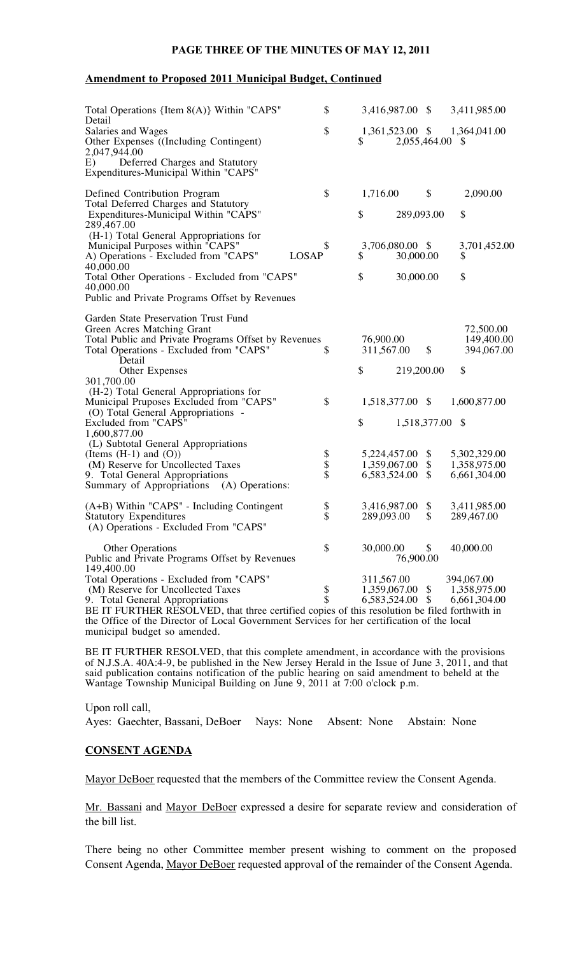#### PAGE THREE OF THE MINUTES OF MAY 12, 2011

#### Amendment to Proposed 2011 Municipal Budget, Continued

| Total Operations {Item 8(A)} Within "CAPS"<br>Detail                                                                                                                                       | \$         |              | 3,416,987.00 \$              | 3,411,985.00                   |
|--------------------------------------------------------------------------------------------------------------------------------------------------------------------------------------------|------------|--------------|------------------------------|--------------------------------|
| Salaries and Wages                                                                                                                                                                         | \$         |              | 1,361,523.00 \$              | 1,364,041.00                   |
| Other Expenses ((Including Contingent)<br>2,047,944.00                                                                                                                                     |            | \$           | 2,055,464.00                 | <sup>8</sup>                   |
| E)<br>Deferred Charges and Statutory<br>Expenditures-Municipal Within "CAPS"                                                                                                               |            |              |                              |                                |
| Defined Contribution Program                                                                                                                                                               | \$         | 1,716.00     |                              | \$<br>2,090.00                 |
| Total Deferred Charges and Statutory<br>Expenditures-Municipal Within "CAPS"<br>289,467.00                                                                                                 |            | \$           | 289,093.00                   | \$                             |
| (H-1) Total General Appropriations for<br>Municipal Purposes within "CAPS"<br>A) Operations - Excluded from "CAPS"<br><b>LOSAP</b><br>40,000.00                                            | \$         | \$           | 3,706,080.00 \$<br>30,000.00 | 3,701,452.00<br>\$             |
| Total Other Operations - Excluded from "CAPS"<br>40,000.00                                                                                                                                 |            | \$           | 30,000.00                    | \$                             |
| Public and Private Programs Offset by Revenues                                                                                                                                             |            |              |                              |                                |
| Garden State Preservation Trust Fund                                                                                                                                                       |            |              |                              |                                |
| Green Acres Matching Grant                                                                                                                                                                 |            | 76,900.00    |                              | 72,500.00                      |
| Total Public and Private Programs Offset by Revenues<br>Total Operations - Excluded from "CAPS"<br>Detail                                                                                  | \$         | 311,567.00   |                              | \$<br>149,400.00<br>394,067.00 |
| Other Expenses                                                                                                                                                                             |            | \$           | 219,200.00                   | \$                             |
| 301,700.00                                                                                                                                                                                 |            |              |                              |                                |
| (H-2) Total General Appropriations for<br>Municipal Pruposes Excluded from "CAPS"                                                                                                          | \$         |              | 1,518,377.00 \$              | 1,600,877.00                   |
| (O) Total General Appropriations -<br>Excluded from "CAPS"                                                                                                                                 |            | \$           | 1,518,377.00                 | \$                             |
| 1,600,877.00                                                                                                                                                                               |            |              |                              |                                |
| (L) Subtotal General Appropriations<br>(Items $(H-1)$ and $(O)$ )                                                                                                                          |            | 5,224,457.00 |                              | \$<br>5,302,329.00             |
| (M) Reserve for Uncollected Taxes                                                                                                                                                          | \$<br>\$\$ | 1,359,067.00 |                              | \$<br>1,358,975.00             |
| 9. Total General Appropriations<br>Summary of Appropriations (A) Operations:                                                                                                               |            | 6,583,524.00 |                              | \$<br>6,661,304.00             |
| $(A+B)$ Within "CAPS" - Including Contingent                                                                                                                                               |            | 3,416,987.00 |                              | \$<br>3,411,985.00             |
| <b>Statutory Expenditures</b><br>(A) Operations - Excluded From "CAPS"                                                                                                                     | \$<br>\$   | 289,093.00   |                              | \$<br>289,467.00               |
| <b>Other Operations</b>                                                                                                                                                                    | \$         | 30,000.00    |                              | \$<br>40,000.00                |
| Public and Private Programs Offset by Revenues<br>149,400.00                                                                                                                               |            |              | 76,900.00                    |                                |
| Total Operations - Excluded from "CAPS"                                                                                                                                                    |            | 311,567.00   |                              | 394,067.00                     |
| (M) Reserve for Uncollected Taxes                                                                                                                                                          | \$         |              | 1,359,067.00                 | \$<br>1,358,975.00             |
| 9. Total General Appropriations                                                                                                                                                            | \$         |              | 6,583,524.00                 | \$<br>6,661,304.00             |
| BE IT FURTHER RESOLVED, that three certified copies of this resolution be filed forthwith in<br>the Office of the Director of Local Government Services for her contification of the local |            |              |                              |                                |

the Office of the Director of Local Government Services for her certification of the local municipal budget so amended.

BE IT FURTHER RESOLVED, that this complete amendment, in accordance with the provisions of N.J.S.A. 40A:4-9, be published in the New Jersey Herald in the Issue of June 3, 2011, and that said publication contains notification of the public hearing on said amendment to beheld at the Wantage Township Municipal Building on June 9, 2011 at 7:00 o'clock p.m.

Upon roll call, Ayes: Gaechter, Bassani, DeBoer Nays: None Absent: None Abstain: None

#### CONSENT AGENDA

Mayor DeBoer requested that the members of the Committee review the Consent Agenda.

Mr. Bassani and Mayor DeBoer expressed a desire for separate review and consideration of the bill list.

There being no other Committee member present wishing to comment on the proposed Consent Agenda, Mayor DeBoer requested approval of the remainder of the Consent Agenda.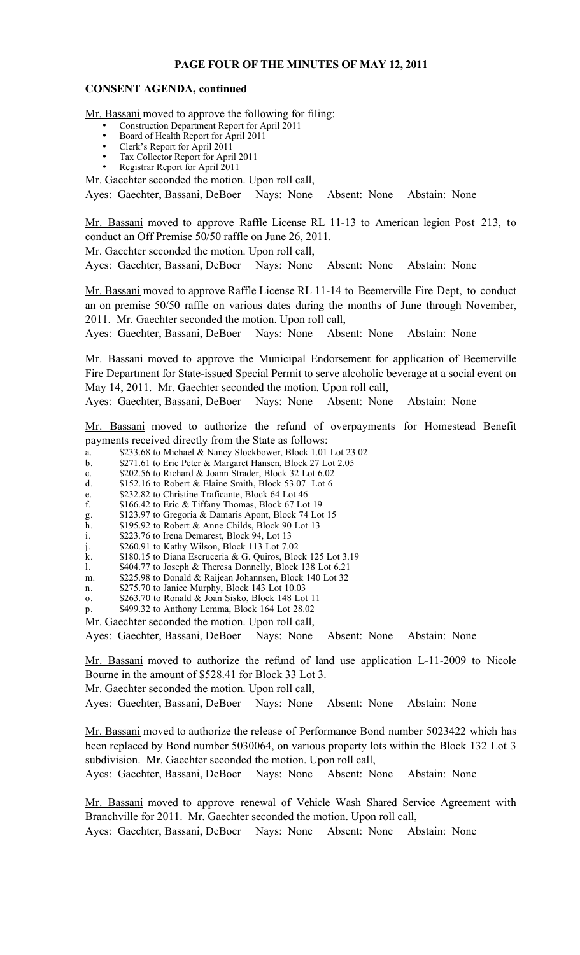### PAGE FOUR OF THE MINUTES OF MAY 12, 2011

#### CONSENT AGENDA, continued

Mr. Bassani moved to approve the following for filing:

- Construction Department Report for April 2011
- Board of Health Report for April 2011
- Clerk's Report for April 2011
- Tax Collector Report for April 2011
- Registrar Report for April 2011

Mr. Gaechter seconded the motion. Upon roll call,

Ayes: Gaechter, Bassani, DeBoer Nays: None Absent: None Abstain: None

Mr. Bassani moved to approve Raffle License RL 11-13 to American legion Post 213, to conduct an Off Premise 50/50 raffle on June 26, 2011.

Mr. Gaechter seconded the motion. Upon roll call,

Ayes: Gaechter, Bassani, DeBoer Nays: None Absent: None Abstain: None

Mr. Bassani moved to approve Raffle License RL 11-14 to Beemerville Fire Dept, to conduct an on premise 50/50 raffle on various dates during the months of June through November, 2011. Mr. Gaechter seconded the motion. Upon roll call,

Ayes: Gaechter, Bassani, DeBoer Nays: None Absent: None Abstain: None

Mr. Bassani moved to approve the Municipal Endorsement for application of Beemerville Fire Department for State-issued Special Permit to serve alcoholic beverage at a social event on May 14, 2011. Mr. Gaechter seconded the motion. Upon roll call,

Ayes: Gaechter, Bassani, DeBoer Nays: None Absent: None Abstain: None

Mr. Bassani moved to authorize the refund of overpayments for Homestead Benefit payments received directly from the State as follows:

- a. \$233.68 to Michael & Nancy Slockbower, Block 1.01 Lot 23.02
- b. \$271.61 to Eric Peter & Margaret Hansen, Block 27 Lot 2.05
- c. \$202.56 to Richard & Joann Strader, Block 32 Lot 6.02<br>d. \$152.16 to Robert & Elaine Smith, Block 53.07 Lot 6
- $$152.16$  to Robert & Elaine Smith, Block 53.07 Lot 6 e. \$232.82 to Christine Traficante, Block 64 Lot 46
- f. \$166.42 to Eric & Tiffany Thomas, Block 67 Lot 19
- g. \$123.97 to Gregoria & Damaris Apont, Block 74 Lot 15
- h. \$195.92 to Robert & Anne Childs, Block 90 Lot 13
- i. \$223.76 to Irena Demarest, Block 94, Lot 13
- j. \$260.91 to Kathy Wilson, Block 113 Lot 7.02
- k. \$180.15 to Diana Escruceria & G. Quiros, Block 125 Lot 3.19
- l. \$404.77 to Joseph & Theresa Donnelly, Block 138 Lot 6.21
- m. \$225.98 to Donald & Raijean Johannsen, Block 140 Lot 32
- n. \$275.70 to Janice Murphy, Block 143 Lot 10.03
- o. \$263.70 to Ronald & Joan Sisko, Block 148 Lot 11
- p. \$499.32 to Anthony Lemma, Block 164 Lot 28.02

Mr. Gaechter seconded the motion. Upon roll call,

Ayes: Gaechter, Bassani, DeBoer Nays: None Absent: None Abstain: None

Mr. Bassani moved to authorize the refund of land use application L-11-2009 to Nicole Bourne in the amount of \$528.41 for Block 33 Lot 3.

Mr. Gaechter seconded the motion. Upon roll call,

Ayes: Gaechter, Bassani, DeBoer Nays: None Absent: None Abstain: None

Mr. Bassani moved to authorize the release of Performance Bond number 5023422 which has been replaced by Bond number 5030064, on various property lots within the Block 132 Lot 3 subdivision. Mr. Gaechter seconded the motion. Upon roll call,

Ayes: Gaechter, Bassani, DeBoer Nays: None Absent: None Abstain: None

Mr. Bassani moved to approve renewal of Vehicle Wash Shared Service Agreement with Branchville for 2011. Mr. Gaechter seconded the motion. Upon roll call,

Ayes: Gaechter, Bassani, DeBoer Nays: None Absent: None Abstain: None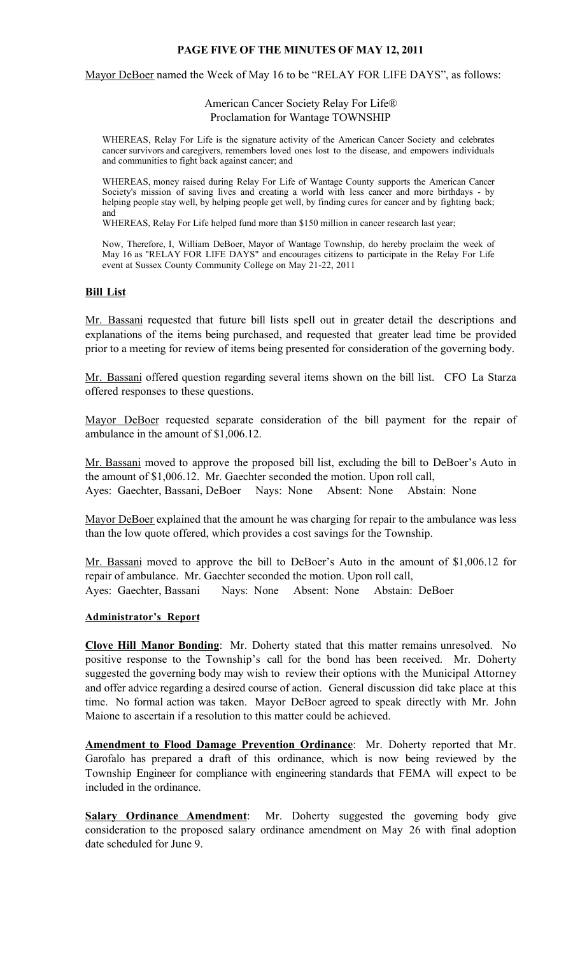## PAGE FIVE OF THE MINUTES OF MAY 12, 2011

Mayor DeBoer named the Week of May 16 to be "RELAY FOR LIFE DAYS", as follows:

## American Cancer Society Relay For Life® Proclamation for Wantage TOWNSHIP

WHEREAS, Relay For Life is the signature activity of the American Cancer Society and celebrates cancer survivors and caregivers, remembers loved ones lost to the disease, and empowers individuals and communities to fight back against cancer; and

WHEREAS, money raised during Relay For Life of Wantage County supports the American Cancer Society's mission of saving lives and creating a world with less cancer and more birthdays - by helping people stay well, by helping people get well, by finding cures for cancer and by fighting back; and

WHEREAS, Relay For Life helped fund more than \$150 million in cancer research last year;

Now, Therefore, I, William DeBoer, Mayor of Wantage Township, do hereby proclaim the week of May 16 as "RELAY FOR LIFE DAYS" and encourages citizens to participate in the Relay For Life event at Sussex County Community College on May 21-22, 2011

# Bill List

Mr. Bassani requested that future bill lists spell out in greater detail the descriptions and explanations of the items being purchased, and requested that greater lead time be provided prior to a meeting for review of items being presented for consideration of the governing body.

Mr. Bassani offered question regarding several items shown on the bill list. CFO La Starza offered responses to these questions.

Mayor DeBoer requested separate consideration of the bill payment for the repair of ambulance in the amount of \$1,006.12.

Mr. Bassani moved to approve the proposed bill list, excluding the bill to DeBoer's Auto in the amount of \$1,006.12. Mr. Gaechter seconded the motion. Upon roll call, Ayes: Gaechter, Bassani, DeBoer Nays: None Absent: None Abstain: None

Mayor DeBoer explained that the amount he was charging for repair to the ambulance was less than the low quote offered, which provides a cost savings for the Township.

Mr. Bassani moved to approve the bill to DeBoer's Auto in the amount of \$1,006.12 for repair of ambulance. Mr. Gaechter seconded the motion. Upon roll call, Ayes: Gaechter, Bassani Nays: None Absent: None Abstain: DeBoer

## Administrator's Report

Clove Hill Manor Bonding: Mr. Doherty stated that this matter remains unresolved. No positive response to the Township's call for the bond has been received. Mr. Doherty suggested the governing body may wish to review their options with the Municipal Attorney and offer advice regarding a desired course of action. General discussion did take place at this time. No formal action was taken. Mayor DeBoer agreed to speak directly with Mr. John Maione to ascertain if a resolution to this matter could be achieved.

Amendment to Flood Damage Prevention Ordinance: Mr. Doherty reported that Mr. Garofalo has prepared a draft of this ordinance, which is now being reviewed by the Township Engineer for compliance with engineering standards that FEMA will expect to be included in the ordinance.

Salary Ordinance Amendment: Mr. Doherty suggested the governing body give consideration to the proposed salary ordinance amendment on May 26 with final adoption date scheduled for June 9.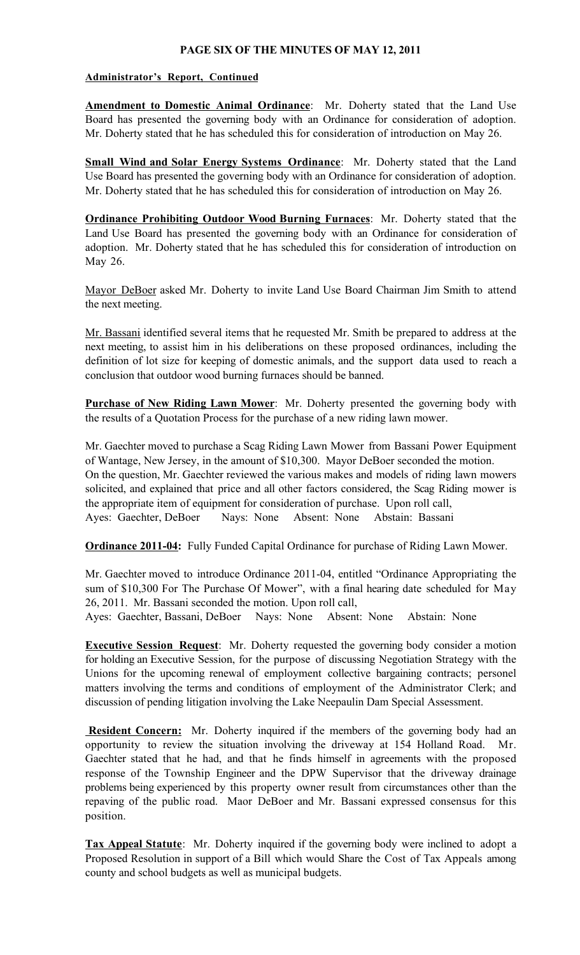## PAGE SIX OF THE MINUTES OF MAY 12, 2011

## Administrator's Report, Continued

Amendment to Domestic Animal Ordinance: Mr. Doherty stated that the Land Use Board has presented the governing body with an Ordinance for consideration of adoption. Mr. Doherty stated that he has scheduled this for consideration of introduction on May 26.

Small Wind and Solar Energy Systems Ordinance: Mr. Doherty stated that the Land Use Board has presented the governing body with an Ordinance for consideration of adoption. Mr. Doherty stated that he has scheduled this for consideration of introduction on May 26.

**Ordinance Prohibiting Outdoor Wood Burning Furnaces:** Mr. Doherty stated that the Land Use Board has presented the governing body with an Ordinance for consideration of adoption. Mr. Doherty stated that he has scheduled this for consideration of introduction on May 26.

Mayor DeBoer asked Mr. Doherty to invite Land Use Board Chairman Jim Smith to attend the next meeting.

Mr. Bassani identified several items that he requested Mr. Smith be prepared to address at the next meeting, to assist him in his deliberations on these proposed ordinances, including the definition of lot size for keeping of domestic animals, and the support data used to reach a conclusion that outdoor wood burning furnaces should be banned.

Purchase of New Riding Lawn Mower: Mr. Doherty presented the governing body with the results of a Quotation Process for the purchase of a new riding lawn mower.

Mr. Gaechter moved to purchase a Scag Riding Lawn Mower from Bassani Power Equipment of Wantage, New Jersey, in the amount of \$10,300. Mayor DeBoer seconded the motion. On the question, Mr. Gaechter reviewed the various makes and models of riding lawn mowers solicited, and explained that price and all other factors considered, the Scag Riding mower is the appropriate item of equipment for consideration of purchase. Upon roll call, Ayes: Gaechter, DeBoer Nays: None Absent: None Abstain: Bassani

**Ordinance 2011-04:** Fully Funded Capital Ordinance for purchase of Riding Lawn Mower.

Mr. Gaechter moved to introduce Ordinance 2011-04, entitled "Ordinance Appropriating the sum of \$10,300 For The Purchase Of Mower", with a final hearing date scheduled for May 26, 2011. Mr. Bassani seconded the motion. Upon roll call,

Ayes: Gaechter, Bassani, DeBoer Nays: None Absent: None Abstain: None

**Executive Session Request**: Mr. Doherty requested the governing body consider a motion for holding an Executive Session, for the purpose of discussing Negotiation Strategy with the Unions for the upcoming renewal of employment collective bargaining contracts; personel matters involving the terms and conditions of employment of the Administrator Clerk; and discussion of pending litigation involving the Lake Neepaulin Dam Special Assessment.

**Resident Concern:** Mr. Doherty inquired if the members of the governing body had an opportunity to review the situation involving the driveway at 154 Holland Road. Mr. Gaechter stated that he had, and that he finds himself in agreements with the proposed response of the Township Engineer and the DPW Supervisor that the driveway drainage problems being experienced by this property owner result from circumstances other than the repaving of the public road. Maor DeBoer and Mr. Bassani expressed consensus for this position.

Tax Appeal Statute: Mr. Doherty inquired if the governing body were inclined to adopt a Proposed Resolution in support of a Bill which would Share the Cost of Tax Appeals among county and school budgets as well as municipal budgets.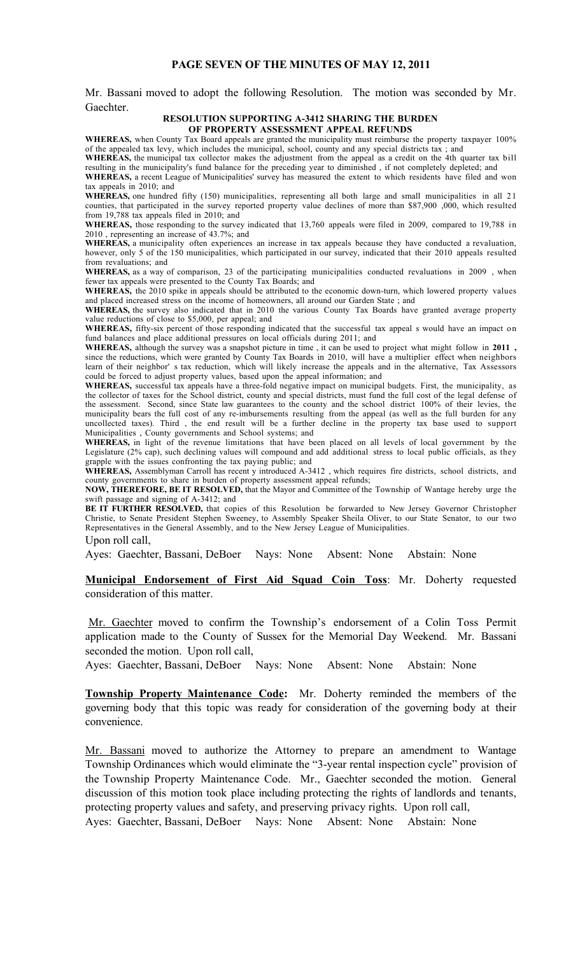#### PAGE SEVEN OF THE MINUTES OF MAY 12, 2011

Mr. Bassani moved to adopt the following Resolution. The motion was seconded by Mr. Gaechter.

#### RESOLUTION SUPPORTING A-3412 SHARING THE BURDEN OF PROPERTY ASSESSMENT APPEAL REFUNDS

WHEREAS, when County Tax Board appeals are granted the municipality must reimburse the property taxpayer 100% of the appealed tax levy, which includes the municipal, school, county and any special districts tax ; and

WHEREAS, the municipal tax collector makes the adjustment from the appeal as a credit on the 4th quarter tax bill resulting in the municipality's fund balance for the preceding year to diminished , if not completely depleted; and WHEREAS, a recent League of Municipalities' survey has measured the extent to which residents have filed and won

tax appeals in 2010; and WHEREAS, one hundred fifty (150) municipalities, representing all both large and small municipalities in all 21 counties, that participated in the survey reported property value declines of more than \$87,900 ,000, which resulted from 19,788 tax appeals filed in 2010; and

WHEREAS, those responding to the survey indicated that 13,760 appeals were filed in 2009, compared to 19,788 in 2010 , representing an increase of 43.7%; and

WHEREAS, a municipality often experiences an increase in tax appeals because they have conducted a revaluation, however, only 5 of the 150 municipalities, which participated in our survey, indicated that their 2010 appeals resulted from revaluations; and

WHEREAS, as a way of comparison, 23 of the participating municipalities conducted revaluations in 2009 , when fewer tax appeals were presented to the County Tax Boards; and

WHEREAS, the 2010 spike in appeals should be attributed to the economic down-turn, which lowered property values and placed increased stress on the income of homeowners, all around our Garden State ; and

WHEREAS, the survey also indicated that in 2010 the various County Tax Boards have granted average property value reductions of close to \$5,000, per appeal; and

WHEREAS, fifty-six percent of those responding indicated that the successful tax appeal s would have an impact on fund balances and place additional pressures on local officials during 2011; and

WHEREAS, although the survey was a snapshot picture in time, it can be used to project what might follow in 2011, since the reductions, which were granted by County Tax Boards in 2010, will have a multiplier effect when neighbors learn of their neighbor' s tax reduction, which will likely increase the appeals and in the alternative, Tax Assessors could be forced to adjust property values, based upon the appeal information; and

WHEREAS, successful tax appeals have a three-fold negative impact on municipal budgets. First, the municipality, as the collector of taxes for the School district, county and special districts, must fund the full cost of the legal defense of the assessment. Second, since State law guarantees to the county and the school district 100% of their levies, the municipality bears the full cost of any re-imbursements resulting from the appeal (as well as the full burden for any uncollected taxes). Third , the end result will be a further decline in the property tax base used to support Municipalities , County governments and School systems; and

WHEREAS, in light of the revenue limitations that have been placed on all levels of local government by the Legislature (2% cap), such declining values will compound and add additional stress to local public officials, as they grapple with the issues confronting the tax paying public; and

WHEREAS, Assemblyman Carroll has recent y introduced A-3412 , which requires fire districts, school districts, and county governments to share in burden of property assessment appeal refunds;

NOW, THEREFORE, BE IT RESOLVED, that the Mayor and Committee of the Township of Wantage hereby urge the swift passage and signing of A-3412; and

BE IT FURTHER RESOLVED, that copies of this Resolution be forwarded to New Jersey Governor Christopher Christie, to Senate President Stephen Sweeney, to Assembly Speaker Sheila Oliver, to our State Senator, to our two Representatives in the General Assembly, and to the New Jersey League of Municipalities. Upon roll call,

Ayes: Gaechter, Bassani, DeBoer Nays: None Absent: None Abstain: None

Municipal Endorsement of First Aid Squad Coin Toss: Mr. Doherty requested consideration of this matter.

Mr. Gaechter moved to confirm the Township's endorsement of a Colin Toss Permit application made to the County of Sussex for the Memorial Day Weekend. Mr. Bassani seconded the motion. Upon roll call,

Ayes: Gaechter, Bassani, DeBoer Nays: None Absent: None Abstain: None

Township Property Maintenance Code: Mr. Doherty reminded the members of the governing body that this topic was ready for consideration of the governing body at their convenience.

Mr. Bassani moved to authorize the Attorney to prepare an amendment to Wantage Township Ordinances which would eliminate the "3-year rental inspection cycle" provision of the Township Property Maintenance Code. Mr., Gaechter seconded the motion. General discussion of this motion took place including protecting the rights of landlords and tenants, protecting property values and safety, and preserving privacy rights. Upon roll call, Ayes: Gaechter, Bassani, DeBoer Nays: None Absent: None Abstain: None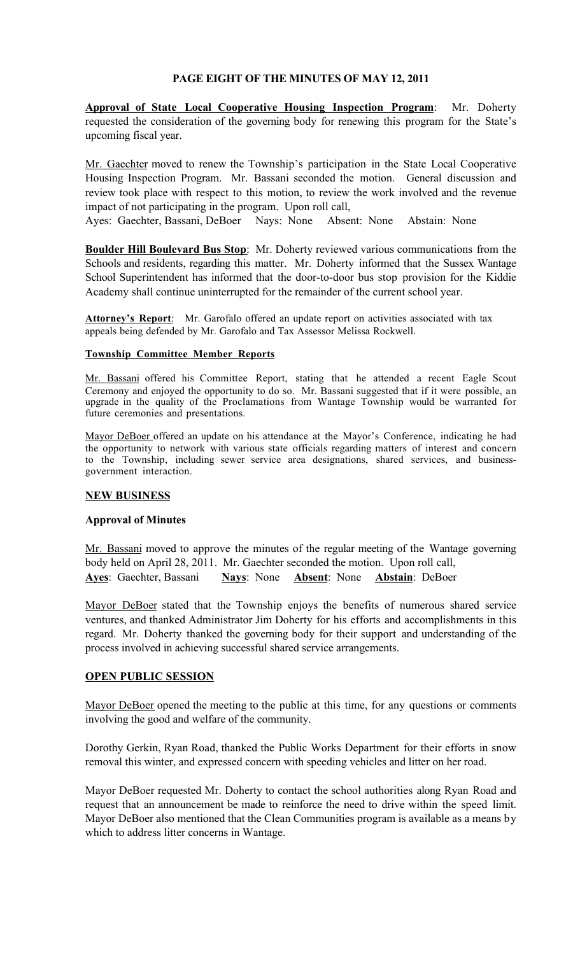## PAGE EIGHT OF THE MINUTES OF MAY 12, 2011

Approval of State Local Cooperative Housing Inspection Program: Mr. Doherty requested the consideration of the governing body for renewing this program for the State's upcoming fiscal year.

Mr. Gaechter moved to renew the Township's participation in the State Local Cooperative Housing Inspection Program. Mr. Bassani seconded the motion. General discussion and review took place with respect to this motion, to review the work involved and the revenue impact of not participating in the program. Upon roll call,

Ayes: Gaechter, Bassani, DeBoer Nays: None Absent: None Abstain: None

**Boulder Hill Boulevard Bus Stop:** Mr. Doherty reviewed various communications from the Schools and residents, regarding this matter. Mr. Doherty informed that the Sussex Wantage School Superintendent has informed that the door-to-door bus stop provision for the Kiddie Academy shall continue uninterrupted for the remainder of the current school year.

Attorney's Report: Mr. Garofalo offered an update report on activities associated with tax appeals being defended by Mr. Garofalo and Tax Assessor Melissa Rockwell.

#### Township Committee Member Reports

Mr. Bassani offered his Committee Report, stating that he attended a recent Eagle Scout Ceremony and enjoyed the opportunity to do so. Mr. Bassani suggested that if it were possible, an upgrade in the quality of the Proclamations from Wantage Township would be warranted for future ceremonies and presentations.

Mayor DeBoer offered an update on his attendance at the Mayor's Conference, indicating he had the opportunity to network with various state officials regarding matters of interest and concern to the Township, including sewer service area designations, shared services, and businessgovernment interaction.

## NEW BUSINESS

## Approval of Minutes

Mr. Bassani moved to approve the minutes of the regular meeting of the Wantage governing body held on April 28, 2011. Mr. Gaechter seconded the motion. Upon roll call, Ayes: Gaechter, Bassani Nays: None Absent: None Abstain: DeBoer

Mayor DeBoer stated that the Township enjoys the benefits of numerous shared service ventures, and thanked Administrator Jim Doherty for his efforts and accomplishments in this regard. Mr. Doherty thanked the governing body for their support and understanding of the process involved in achieving successful shared service arrangements.

# OPEN PUBLIC SESSION

Mayor DeBoer opened the meeting to the public at this time, for any questions or comments involving the good and welfare of the community.

Dorothy Gerkin, Ryan Road, thanked the Public Works Department for their efforts in snow removal this winter, and expressed concern with speeding vehicles and litter on her road.

Mayor DeBoer requested Mr. Doherty to contact the school authorities along Ryan Road and request that an announcement be made to reinforce the need to drive within the speed limit. Mayor DeBoer also mentioned that the Clean Communities program is available as a means by which to address litter concerns in Wantage.